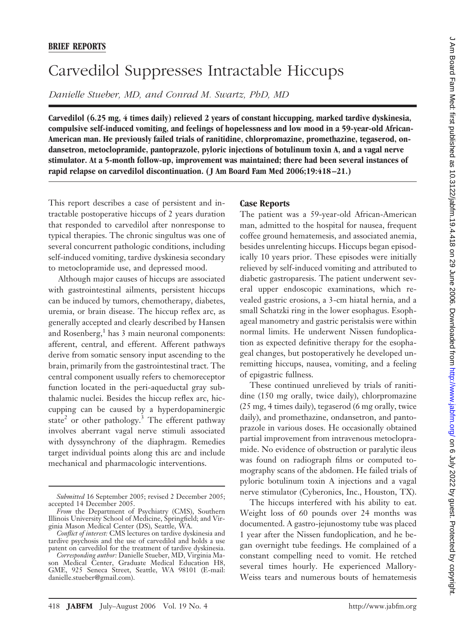# Carvedilol Suppresses Intractable Hiccups

*Danielle Stueber, MD, and Conrad M. Swartz, PhD, MD*

**Carvedilol (6.25 mg, 4 times daily) relieved 2 years of constant hiccupping, marked tardive dyskinesia, compulsive self-induced vomiting, and feelings of hopelessness and low mood in a 59-year-old African-American man. He previously failed trials of ranitidine, chlorpromazine, promethazine, tegaserod, ondansetron, metoclopramide, pantoprazole, pyloric injections of botulinum toxin A, and a vagal nerve stimulator. At a 5-month follow-up, improvement was maintained; there had been several instances of rapid relapse on carvedilol discontinuation. ( J Am Board Fam Med 2006;19:418 –21.)**

This report describes a case of persistent and intractable postoperative hiccups of 2 years duration that responded to carvedilol after nonresponse to typical therapies. The chronic singultus was one of several concurrent pathologic conditions, including self-induced vomiting, tardive dyskinesia secondary to metoclopramide use, and depressed mood.

Although major causes of hiccups are associated with gastrointestinal ailments, persistent hiccups can be induced by tumors, chemotherapy, diabetes, uremia, or brain disease. The hiccup reflex arc, as generally accepted and clearly described by Hansen and Rosenberg, $<sup>1</sup>$  has 3 main neuronal components:</sup> afferent, central, and efferent. Afferent pathways derive from somatic sensory input ascending to the brain, primarily from the gastrointestinal tract. The central component usually refers to chemoreceptor function located in the peri-aqueductal gray subthalamic nuclei. Besides the hiccup reflex arc, hiccupping can be caused by a hyperdopaminergic state<sup>2</sup> or other pathology.<sup>3</sup> The efferent pathway involves aberrant vagal nerve stimuli associated with dyssynchrony of the diaphragm. Remedies target individual points along this arc and include mechanical and pharmacologic interventions.

## **Case Reports**

The patient was a 59-year-old African-American man, admitted to the hospital for nausea, frequent coffee ground hematemesis, and associated anemia, besides unrelenting hiccups. Hiccups began episodically 10 years prior. These episodes were initially relieved by self-induced vomiting and attributed to diabetic gastroparesis. The patient underwent several upper endoscopic examinations, which revealed gastric erosions, a 3-cm hiatal hernia, and a small Schatzki ring in the lower esophagus. Esophageal manometry and gastric peristalsis were within normal limits. He underwent Nissen fundoplication as expected definitive therapy for the esophageal changes, but postoperatively he developed unremitting hiccups, nausea, vomiting, and a feeling of epigastric fullness.

These continued unrelieved by trials of ranitidine (150 mg orally, twice daily), chlorpromazine (25 mg, 4 times daily), tegaserod (6 mg orally, twice daily), and promethazine, ondansetron, and pantoprazole in various doses. He occasionally obtained partial improvement from intravenous metoclopramide. No evidence of obstruction or paralytic ileus was found on radiograph films or computed tomography scans of the abdomen. He failed trials of pyloric botulinum toxin A injections and a vagal nerve stimulator (Cyberonics, Inc., Houston, TX).

The hiccups interfered with his ability to eat. Weight loss of 60 pounds over 24 months was documented. A gastro-jejunostomy tube was placed 1 year after the Nissen fundoplication, and he began overnight tube feedings. He complained of a constant compelling need to vomit. He retched several times hourly. He experienced Mallory-Weiss tears and numerous bouts of hematemesis

*Submitted* 16 September 2005; revised 2 December 2005; accepted 14 December 2005.

*From* the Department of Psychiatry (CMS), Southern Illinois University School of Medicine, Springfield; and Virginia Mason Medical Center (DS), Seattle, WA.

*Conflict of interest:* CMS lectures on tardive dyskinesia and tardive psychosis and the use of carvedilol and holds a use patent on carvedilol for the treatment of tardive dyskinesia.

*Corresponding author:* Danielle Stueber, MD, Virginia Mason Medical Center, Graduate Medical Education H8, GME, 925 Seneca Street, Seattle, WA 98101 (E-mail: danielle.stueber@gmail.com).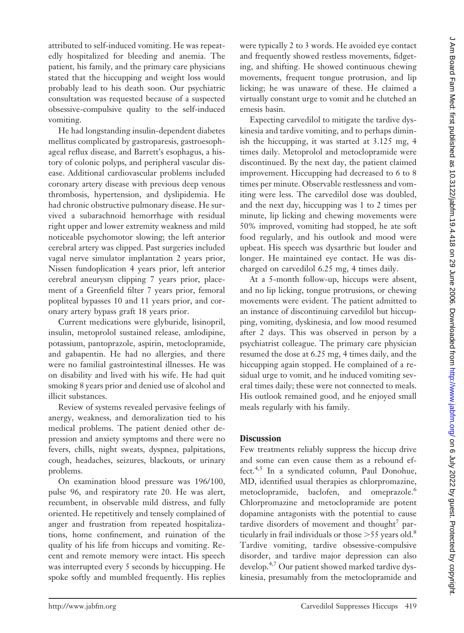attributed to self-induced vomiting. He was repeatedly hospitalized for bleeding and anemia. The patient, his family, and the primary care physicians stated that the hiccupping and weight loss would probably lead to his death soon. Our psychiatric consultation was requested because of a suspected obsessive-compulsive quality to the self-induced vomiting.

He had longstanding insulin-dependent diabetes mellitus complicated by gastroparesis, gastroesophageal reflux disease, and Barrett's esophagus, a history of colonic polyps, and peripheral vascular disease. Additional cardiovascular problems included coronary artery disease with previous deep venous thrombosis, hypertension, and dyslipidemia. He had chronic obstructive pulmonary disease. He survived a subarachnoid hemorrhage with residual right upper and lower extremity weakness and mild noticeable psychomotor slowing; the left anterior cerebral artery was clipped. Past surgeries included vagal nerve simulator implantation 2 years prior, Nissen fundoplication 4 years prior, left anterior cerebral aneurysm clipping 7 years prior, placement of a Greenfield filter 7 years prior, femoral popliteal bypasses 10 and 11 years prior, and coronary artery bypass graft 18 years prior.

Current medications were glyburide, lisinopril, insulin, metoprolol sustained release, amlodipine, potassium, pantoprazole, aspirin, metoclopramide, and gabapentin. He had no allergies, and there were no familial gastrointestinal illnesses. He was on disability and lived with his wife. He had quit smoking 8 years prior and denied use of alcohol and illicit substances.

Review of systems revealed pervasive feelings of anergy, weakness, and demoralization tied to his medical problems. The patient denied other depression and anxiety symptoms and there were no fevers, chills, night sweats, dyspnea, palpitations, cough, headaches, seizures, blackouts, or urinary problems.

On examination blood pressure was 196/100, pulse 96, and respiratory rate 20. He was alert, recumbent, in observable mild distress, and fully oriented. He repetitively and tensely complained of anger and frustration from repeated hospitalizations, home confinement, and ruination of the quality of his life from hiccups and vomiting. Recent and remote memory were intact. His speech was interrupted every 5 seconds by hiccupping. He spoke softly and mumbled frequently. His replies

were typically 2 to 3 words. He avoided eye contact and frequently showed restless movements, fidgeting, and shifting. He showed continuous chewing movements, frequent tongue protrusion, and lip licking; he was unaware of these. He claimed a virtually constant urge to vomit and he clutched an emesis basin.

Expecting carvedilol to mitigate the tardive dyskinesia and tardive vomiting, and to perhaps diminish the hiccupping, it was started at 3.125 mg, 4 times daily. Metoprolol and metoclopramide were discontinued. By the next day, the patient claimed improvement. Hiccupping had decreased to 6 to 8 times per minute. Observable restlessness and vomiting were less. The carvedilol dose was doubled, and the next day, hiccupping was 1 to 2 times per minute, lip licking and chewing movements were 50% improved, vomiting had stopped, he ate soft food regularly, and his outlook and mood were upbeat. His speech was dysarthric but louder and longer. He maintained eye contact. He was discharged on carvedilol 6.25 mg, 4 times daily.

At a 5-month follow-up, hiccups were absent, and no lip licking, tongue protrusions, or chewing movements were evident. The patient admitted to an instance of discontinuing carvedilol but hiccupping, vomiting, dyskinesia, and low mood resumed after 2 days. This was observed in person by a psychiatrist colleague. The primary care physician resumed the dose at 6.25 mg, 4 times daily, and the hiccupping again stopped. He complained of a residual urge to vomit, and he induced vomiting several times daily; these were not connected to meals. His outlook remained good, and he enjoyed small meals regularly with his family.

## **Discussion**

Few treatments reliably suppress the hiccup drive and some can even cause them as a rebound effect.4,5 In a syndicated column, Paul Donohue, MD, identified usual therapies as chlorpromazine, metoclopramide, baclofen, and omeprazole.<sup>6</sup> Chlorpromazine and metoclopramide are potent dopamine antagonists with the potential to cause tardive disorders of movement and thought<sup>7</sup> particularly in frail individuals or those  $>55$  years old.<sup>8</sup> Tardive vomiting, tardive obsessive-compulsive disorder, and tardive major depression can also develop.4,7 Our patient showed marked tardive dyskinesia, presumably from the metoclopramide and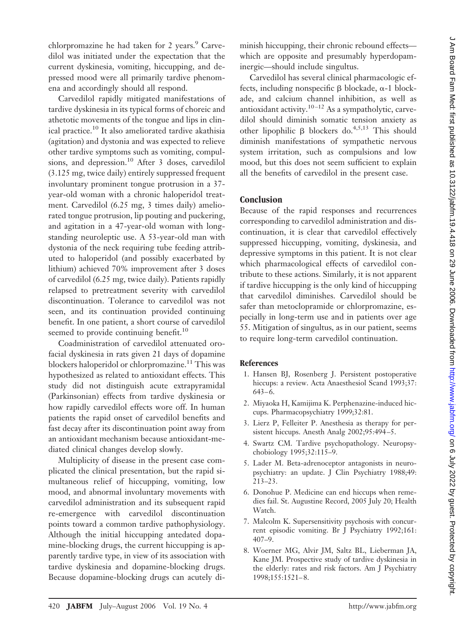chlorpromazine he had taken for 2 years. $\degree$  Carvedilol was initiated under the expectation that the current dyskinesia, vomiting, hiccupping, and depressed mood were all primarily tardive phenomena and accordingly should all respond.

Carvedilol rapidly mitigated manifestations of tardive dyskinesia in its typical forms of choreic and athetotic movements of the tongue and lips in clinical practice.10 It also ameliorated tardive akathisia (agitation) and dystonia and was expected to relieve other tardive symptoms such as vomiting, compulsions, and depression.<sup>10</sup> After 3 doses, carvedilol (3.125 mg, twice daily) entirely suppressed frequent involuntary prominent tongue protrusion in a 37 year-old woman with a chronic haloperidol treatment. Carvedilol (6.25 mg, 3 times daily) ameliorated tongue protrusion, lip pouting and puckering, and agitation in a 47-year-old woman with longstanding neuroleptic use. A 53-year-old man with dystonia of the neck requiring tube feeding attributed to haloperidol (and possibly exacerbated by lithium) achieved 70% improvement after 3 doses of carvedilol (6.25 mg, twice daily). Patients rapidly relapsed to pretreatment severity with carvedilol discontinuation. Tolerance to carvedilol was not seen, and its continuation provided continuing benefit. In one patient, a short course of carvedilol seemed to provide continuing benefit.<sup>10</sup>

Coadministration of carvedilol attenuated orofacial dyskinesia in rats given 21 days of dopamine blockers haloperidol or chlorpromazine.<sup>11</sup> This was hypothesized as related to antioxidant effects. This study did not distinguish acute extrapyramidal (Parkinsonian) effects from tardive dyskinesia or how rapidly carvedilol effects wore off. In human patients the rapid onset of carvedilol benefits and fast decay after its discontinuation point away from an antioxidant mechanism because antioxidant-mediated clinical changes develop slowly.

Multiplicity of disease in the present case complicated the clinical presentation, but the rapid simultaneous relief of hiccupping, vomiting, low mood, and abnormal involuntary movements with carvedilol administration and its subsequent rapid re-emergence with carvedilol discontinuation points toward a common tardive pathophysiology. Although the initial hiccupping antedated dopamine-blocking drugs, the current hiccupping is apparently tardive type, in view of its association with tardive dyskinesia and dopamine-blocking drugs. Because dopamine-blocking drugs can acutely diminish hiccupping, their chronic rebound effects which are opposite and presumably hyperdopaminergic—should include singultus.

Carvedilol has several clinical pharmacologic effects, including nonspecific  $\beta$  blockade,  $\alpha$ -1 blockade, and calcium channel inhibition, as well as antioxidant activity.<sup>10-12</sup> As a sympatholytic, carvedilol should diminish somatic tension anxiety as other lipophilic  $\beta$  blockers do.<sup>4,5,13</sup> This should diminish manifestations of sympathetic nervous system irritation, such as compulsions and low mood, but this does not seem sufficient to explain all the benefits of carvedilol in the present case.

## **Conclusion**

Because of the rapid responses and recurrences corresponding to carvedilol administration and discontinuation, it is clear that carvedilol effectively suppressed hiccupping, vomiting, dyskinesia, and depressive symptoms in this patient. It is not clear which pharmacological effects of carvedilol contribute to these actions. Similarly, it is not apparent if tardive hiccupping is the only kind of hiccupping that carvedilol diminishes. Carvedilol should be safer than metoclopramide or chlorpromazine, especially in long-term use and in patients over age 55. Mitigation of singultus, as in our patient, seems to require long-term carvedilol continuation.

## **References**

- 1. Hansen BJ, Rosenberg J. Persistent postoperative hiccups: a review. Acta Anaesthesiol Scand 1993;37:  $643-6.$
- 2. Miyaoka H, Kamijima K. Perphenazine-induced hiccups. Pharmacopsychiatry 1999;32:81.
- 3. Lierz P, Felleiter P. Anesthesia as therapy for persistent hiccups. Anesth Analg 2002;95:494 –5.
- 4. Swartz CM. Tardive psychopathology. Neuropsychobiology 1995;32:115–9.
- 5. Lader M. Beta-adrenoceptor antagonists in neuropsychiatry: an update. J Clin Psychiatry 1988;49: 213–23.
- 6. Donohue P. Medicine can end hiccups when remedies fail. St. Augustine Record, 2005 July 20; Health Watch.
- 7. Malcolm K. Supersensitivity psychosis with concurrent episodic vomiting. Br J Psychiatry 1992;161: 407–9.
- 8. Woerner MG, Alvir JM, Saltz BL, Lieberman JA, Kane JM. Prospective study of tardive dyskinesia in the elderly: rates and risk factors. Am J Psychiatry 1998;155:1521– 8.